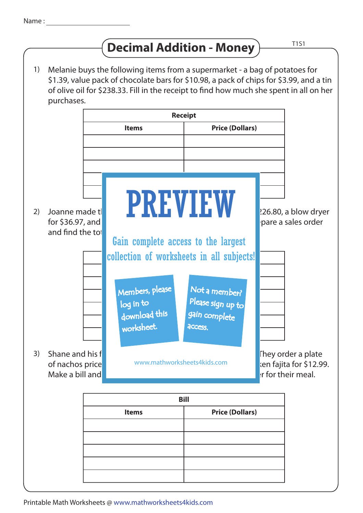## **Decimal Addition - Money**  $\overline{11}$

Melanie buys the following items from a supermarket - a bag of potatoes for \$1.39, value pack of chocolate bars for \$10.98, a pack of chips for \$3.99, and a tin of olive oil for \$238.33. Fill in the receipt to find how much she spent in all on her purchases. Joanne made the **following purchases on the form of the form of**  $\blacksquare$  **a** laptop for  $\blacksquare$  **a** laptop for  $\blacksquare$  **a** laptop for  $\blacksquare$  **a** laptop for  $\blacksquare$  **a** laptop for  $\blacksquare$  **a** laptop for  $\blacksquare$  **a** laptop for  $\$ for \$36.97, and a set of wireless headphones for \$129.95. Prepare a sales order and find the tot They order a plate of nachos price www.mathworksheets4kids.com **at chicken faiita for \$12.99.** Make a bill and  $\blacksquare$  much the charged altogether for their meal. **Bill Items Price (Dollars)** collection of worksheets in all subjects! **Items Price (Dollars)** 1) 2) Joanne made t 3) Shane and his f **Receipt Items Price (Dollars)** PREVIEW www.mathworksheets4kids.com Members, please download this worksheet. log in to Not a member? gain complete Please sign up to **access** Gain complete access to the largest

Printable Math Worksheets @ www.mathworksheets4kids.com